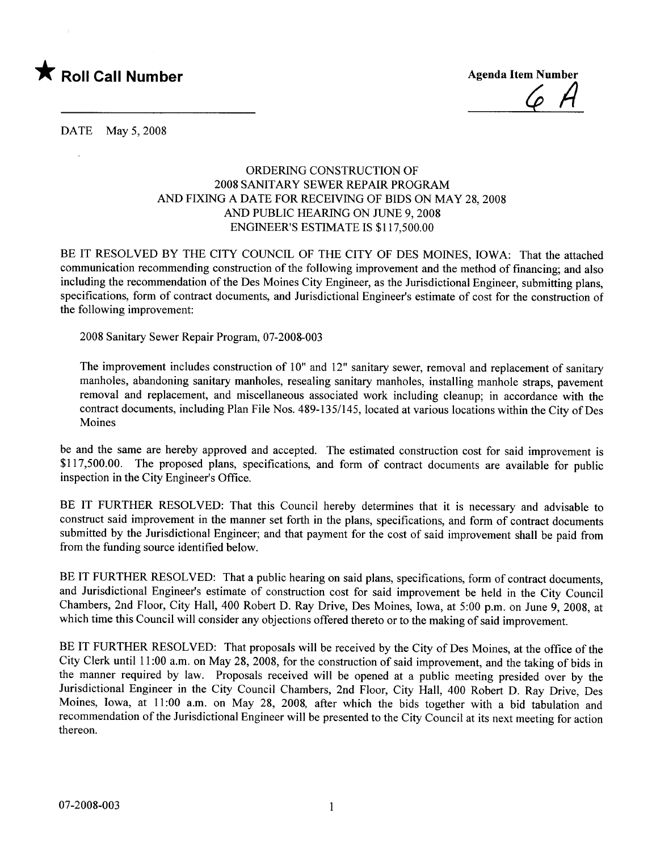

 $6/1$ 

DATE May 5, 2008

## ORDERING CONSTRUCTION OF 2008 SANITARY SEWER REPAIR PROGRAM AND FIXING A DATE FOR RECEIVING OF BIDS ON MAY 28, 2008 AND PUBLIC HEARING ON JUNE 9, 2008 ENGINEER'S ESTIMATE is \$117,500.00

BE IT RESOLVED BY THE CITY COUNCIL OF THE CITY OF DES MOINES, IOWA: That the attached communication recommending construction of the following improvement and the method of financing; and also including the recommendation of the Des Moines City Engineer, as the Jurisdictional Engineer, submitting plans, specifications, form of contract documents, and Jurisdictional Engineer's estimate of cost for the construction of the following improvement:

2008 Sanitary Sewer Repair Program, 07-2008-003

The improvement includes construction of 10" and 12" sanitary sewer, removal and replacement of sanitar manholes, abandoning sanitary manholes, resealing sanitary manholes, installing manhole straps, pavement removal and replacement, and miscellaneous associated work including cleanup; in accordance with the contract documents, including Plan File Nos. 489-135/145, located at various locations within the City of Des Moines

be and the same are hereby approved and accepted. The estimated construction cost for said improvement is \$117,500.00. The proposed plans, specifications, and form of contract documents are available for public inspection in the City Engineer's Office.

BE IT FURTHER RESOLVED: That this Council hereby determines that it is necessary and advisable to construct said improvement in the manner set forth in the plans, specifications, and form of contract documents submitted by the Jurisdictional Engineer; and that payment for the cost of said improvement shall be paid from from the funding source identified below.

BE IT FURTHER RESOLVED: That a public hearing on said plans, specifications, form of contract documents, and Jurisdictional Engineer's estimate of construction cost for said improvement be held in the City Council Chambers, 2nd Floor, City Hall, 400 Robert D. Ray Drive, Des Moines, Iowa, at 5:00 p.m. on June 9, 2008, at which time this Council will consider any objections offered thereto or to the making of said improvement.

BE IT FURTHER RESOLVED: That proposals will be received by the City of Des Moines, at the office of the City Clerk until 11 :00 a.m. on May 28, 2008, for the construction of said improvement, and the taking of bids in the manner required by law. Proposals received will be opened at a public meeting presided over by the Jurisdictional Engineer in the City Council Chambers, 2nd Floor, City Hall, 400 Robert D. Ray Drive, Des Moines, Iowa, at 11:00 a.m. on May 28, 2008, after which the bids together with a bid tabulation and recommendation of the Jurisdictional Engineer will be presented to the City Council at its next meeting for action thereon.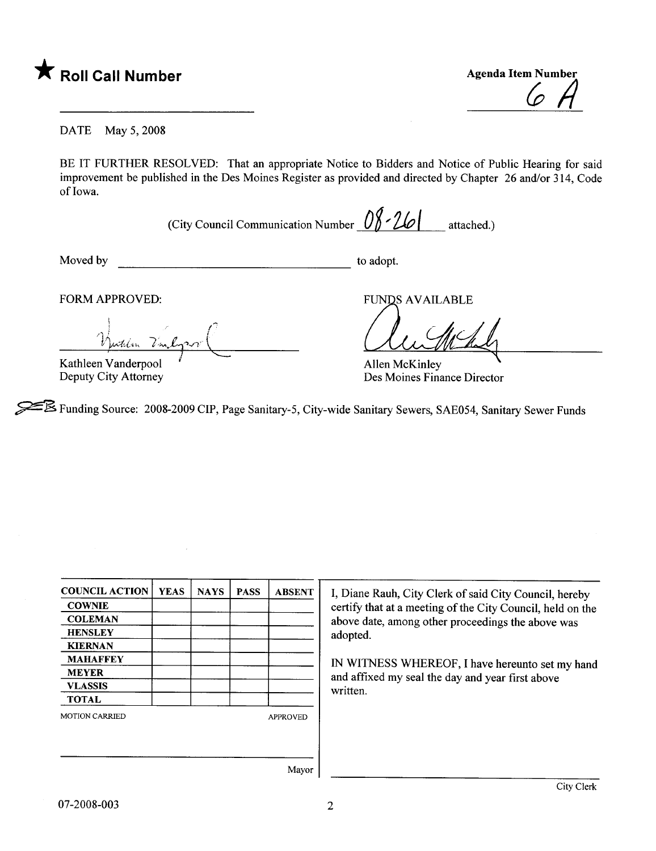

 $\varphi$  H

DATE May 5, 2008

BE IT FURTHER RESOLVED: That an appropriate Notice to Bidders and Notice of Public Hearing for said improvement be published in the Des Moines Register as provided and directed by Chapter 26 and/or 314, Code of Iowa.

(City Council Communication Number  $0 \frac{8}{10}$  - 2Lo | attached.)

Moved by to adopt.

FORM APPROVED:

telen Vanl  $\prime$  .  $\overline{\mathcal{L}}$  $\overline{a}$ 

Kathleen Vanderpool Deputy City Attorney

**FUNDS AVAILABLE** 

Allen McKinley Des Moines Finance Director

~ Funding Source: 2008-2009 CIP, Page Sanitary-5, City-wide Sanitary Sewers, SAE054, Sanitary Sewer Funds

| <b>COUNCIL ACTION</b> | <b>YEAS</b> | <b>NAYS</b> | <b>PASS</b> | <b>ABSENT</b>   |
|-----------------------|-------------|-------------|-------------|-----------------|
| <b>COWNIE</b>         |             |             |             |                 |
| <b>COLEMAN</b>        |             |             |             |                 |
| <b>HENSLEY</b>        |             |             |             |                 |
| <b>KIERNAN</b>        |             |             |             |                 |
| <b>MAHAFFEY</b>       |             |             |             |                 |
| <b>MEYER</b>          |             |             |             |                 |
| <b>VLASSIS</b>        |             |             |             |                 |
| <b>TOTAL</b>          |             |             |             |                 |
| <b>MOTION CARRIED</b> |             |             |             | <b>APPROVED</b> |
|                       |             |             |             |                 |
|                       |             |             |             |                 |
|                       |             |             |             | $\sim$          |

I, Diane Rauh, City Clerk of said City Council, hereby certify that at a meeting of the City Council, held on the above date, among other proceedings the above was adopted.

IN WITNESS WHREOF, I have hereunto set my hand and affixed my seal the day and year first above written.

Mayor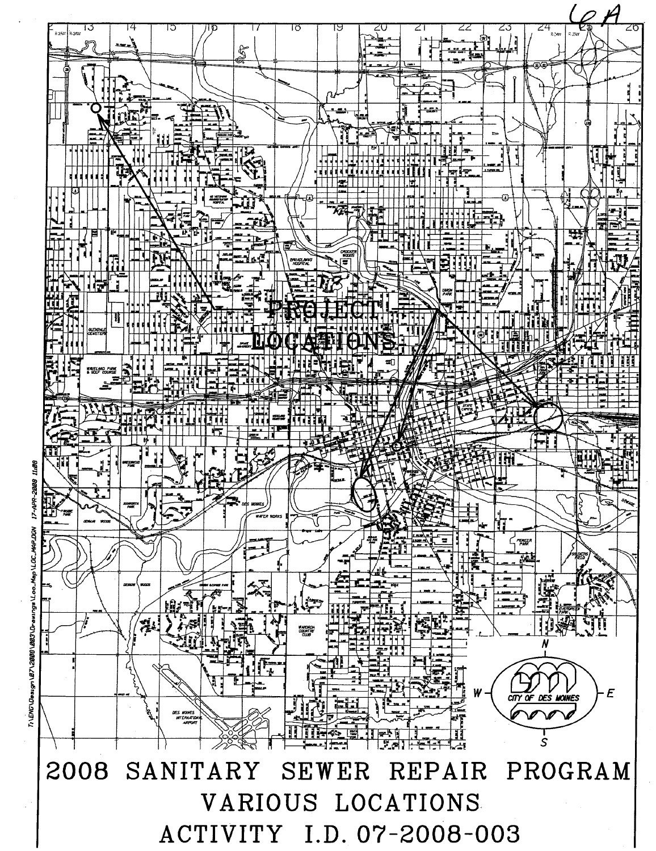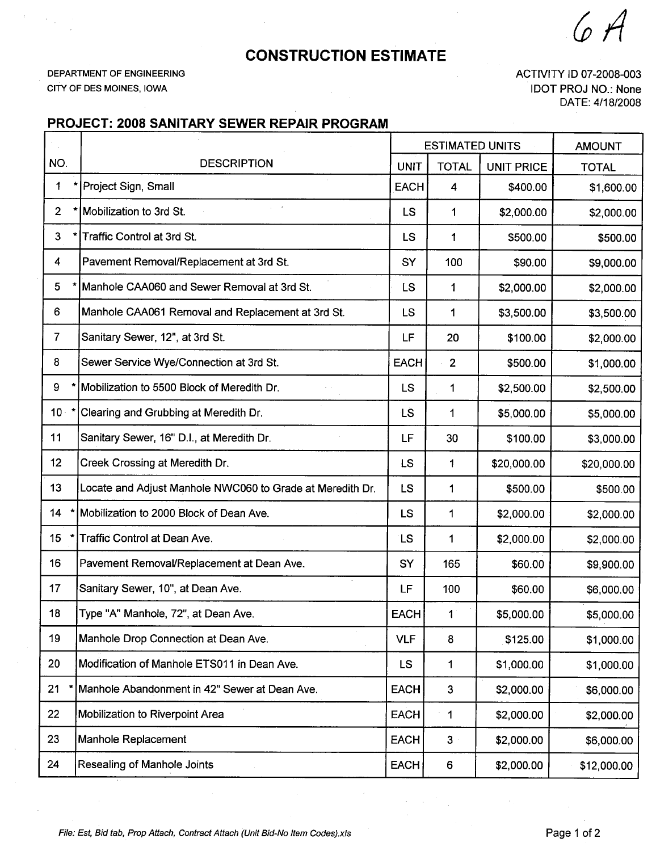$($   $A$ 

## CONSTRUCTION ESTIMATE

DEPARTMENT OF ENGINEERING CITY OF DES MOINES, IOWA

 $\bar{z}$ 

 $\sim$  .

ACTIVITY ID 07-2008-003 IDOT PROJ NO.: None DATE: 4/18/2008

## PROJECT: 2008 SANITARY SEWER REPAIR PROGRAM

|                         |                                                           | <b>ESTIMATED UNITS</b> |                | <b>AMOUNT</b>     |              |
|-------------------------|-----------------------------------------------------------|------------------------|----------------|-------------------|--------------|
| NO.                     | <b>DESCRIPTION</b>                                        | <b>UNIT</b>            | <b>TOTAL</b>   | <b>UNIT PRICE</b> | <b>TOTAL</b> |
| 1                       | Project Sign, Small                                       | <b>EACH</b>            | 4              | \$400.00          | \$1,600.00   |
| 2 <sup>1</sup>          | Mobilization to 3rd St.                                   | LS                     | 1              | \$2,000.00        | \$2,000.00   |
| 3                       | Traffic Control at 3rd St.                                |                        | 1              | \$500.00          | \$500.00     |
| $\overline{\mathbf{4}}$ | Pavement Removal/Replacement at 3rd St.                   |                        | 100            | \$90.00           | \$9,000.00   |
| 5                       | Manhole CAA060 and Sewer Removal at 3rd St.               | LS                     | 1              | \$2,000.00        | \$2,000.00   |
| 6                       | Manhole CAA061 Removal and Replacement at 3rd St.         | <b>LS</b>              | 1              | \$3,500.00        | \$3,500.00   |
| $\overline{7}$          | Sanitary Sewer, 12", at 3rd St.                           | LF                     | 20             | \$100.00          | \$2,000.00   |
| 8                       | Sewer Service Wye/Connection at 3rd St.                   | <b>EACH</b>            | $\overline{2}$ | \$500.00          | \$1,000.00   |
| 9                       | Mobilization to 5500 Block of Meredith Dr.                | LS                     | 1              | \$2,500.00        | \$2,500.00   |
| $10 *$                  | Clearing and Grubbing at Meredith Dr.                     | <b>LS</b>              | 1              | \$5,000.00        | \$5,000.00   |
| 11                      | Sanitary Sewer, 16" D.I., at Meredith Dr.                 | LF                     | 30             | \$100.00          | \$3,000.00   |
| 12                      | Creek Crossing at Meredith Dr.                            | <b>LS</b>              | 1              | \$20,000.00       | \$20,000.00  |
| 13                      | Locate and Adjust Manhole NWC060 to Grade at Meredith Dr. | LS                     | 1              | \$500.00          | \$500.00     |
| 14                      | Mobilization to 2000 Block of Dean Ave.                   | <b>LS</b>              | 1              | \$2,000.00        | \$2,000.00   |
| 15 <sub>1</sub>         | Traffic Control at Dean Ave.                              | <b>LS</b>              | 1              | \$2,000.00        | \$2,000.00   |
| 16                      | Pavement Removal/Replacement at Dean Ave.                 | SY                     | 165            | \$60.00           | \$9,900.00   |
| 17                      | Sanitary Sewer, 10", at Dean Ave.                         | LF                     | 100            | \$60.00           | \$6,000.00   |
| 18                      | Type "A" Manhole, 72", at Dean Ave.                       | <b>EACH</b>            | 1              | \$5,000.00        | \$5,000.00   |
| 19                      | Manhole Drop Connection at Dean Ave.                      | <b>VLF</b>             | 8              | \$125.00          | \$1,000.00   |
| 20                      | Modification of Manhole ETS011 in Dean Ave.               | <b>LS</b>              | 1              | \$1,000.00        | \$1,000.00   |
| 21                      | Manhole Abandonment in 42" Sewer at Dean Ave.             | <b>EACH</b>            | 3              | \$2,000.00        | \$6,000.00   |
| 22                      | Mobilization to Riverpoint Area                           | <b>EACH</b>            | $\mathbf 1$    | \$2,000.00        | \$2,000.00   |
| 23                      | Manhole Replacement                                       |                        | $\mathbf{3}$   | \$2,000.00        | \$6,000.00   |
| 24                      | Resealing of Manhole Joints                               | EACH                   | 6              | \$2,000.00        | \$12,000.00  |